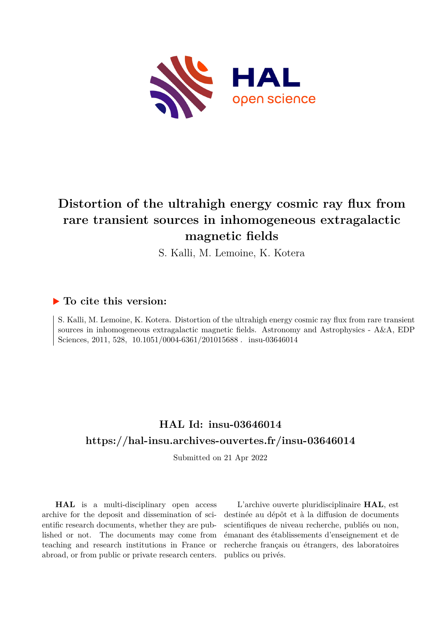

# **Distortion of the ultrahigh energy cosmic ray flux from rare transient sources in inhomogeneous extragalactic magnetic fields**

S. Kalli, M. Lemoine, K. Kotera

### **To cite this version:**

S. Kalli, M. Lemoine, K. Kotera. Distortion of the ultrahigh energy cosmic ray flux from rare transient sources in inhomogeneous extragalactic magnetic fields. Astronomy and Astrophysics - A&A, EDP Sciences, 2011, 528, 10.1051/0004-6361/201015688. insu-03646014

## **HAL Id: insu-03646014 <https://hal-insu.archives-ouvertes.fr/insu-03646014>**

Submitted on 21 Apr 2022

**HAL** is a multi-disciplinary open access archive for the deposit and dissemination of scientific research documents, whether they are published or not. The documents may come from teaching and research institutions in France or abroad, or from public or private research centers.

L'archive ouverte pluridisciplinaire **HAL**, est destinée au dépôt et à la diffusion de documents scientifiques de niveau recherche, publiés ou non, émanant des établissements d'enseignement et de recherche français ou étrangers, des laboratoires publics ou privés.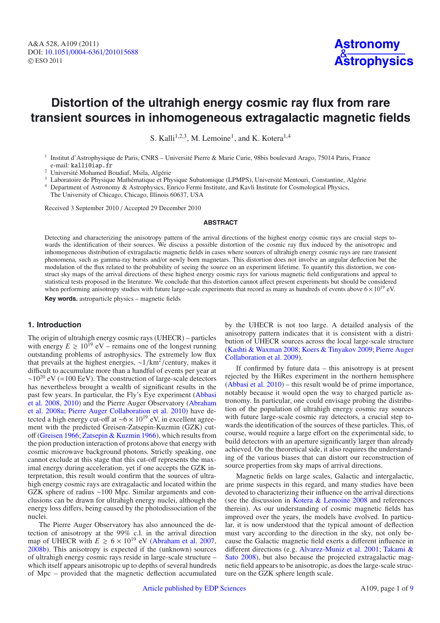### **Distortion of the ultrahigh energy cosmic ray flux from rare transient sources in inhomogeneous extragalactic magnetic fields**

S. Kalli<sup>1,2,3</sup>, M. Lemoine<sup>1</sup>, and K. Kotera<sup>1,4</sup>

- <sup>1</sup> Institut d'Astrophysique de Paris, CNRS Université Pierre & Marie Curie, 98bis boulevard Arago, 75014 Paris, France e-mail: kalli@iap.fr
- <sup>2</sup> Université Mohamed Boudiaf, Msila, Algérie
- <sup>3</sup> Laboratoire de Physique Mathématique et Physique Subatomique (LPMPS), Université Mentouri, Constantine, Algérie

Department of Astronomy & Astrophysics, Enrico Fermi Institute, and Kavli Institute for Cosmological Physics,

The University of Chicago, Chicago, Illinois 60637, USA

Received 3 September 2010 / Accepted 29 December 2010

#### **ABSTRACT**

Detecting and characterizing the anisotropy pattern of the arrival directions of the highest energy cosmic rays are crucial steps towards the identification of their sources. We discuss a possible distortion of the cosmic ray flux induced by the anisotropic and inhomogeneous distribution of extragalactic magnetic fields in cases where sources of ultrahigh energy cosmic rays are rare transient phenomena, such as gamma-ray bursts and/or newly born magnetars. This distortion does not involve an angular deflection but the modulation of the flux related to the probability of seeing the source on an experiment lifetime. To quantify this distortion, we construct sky maps of the arrival directions of these highest energy cosmic rays for various magnetic field configurations and appeal to statistical tests proposed in the literature. We conclude that this distortion cannot affect present experiments but should be considered when performing anisotropy studies with future large-scale experiments that record as many as hundreds of events above  $6 \times 10^{19}$  eV.

**Key words.** astroparticle physics – magnetic fields

#### **1. Introduction**

The origin of ultrahigh energy cosmic rays (UHECR) – particles with energy  $E \ge 10^{19}$  eV – remains one of the longest running outstanding problems of astrophysics. The extremely low flux that prevails at the highest energies, <sup>∼</sup>1/km2 /century, makes it difficult to accumulate more than a handful of events per year at  $~\sim$ 10<sup>20</sup> eV (=100 EeV). The construction of large-scale detectors has nevertheless brought a wealth of significant results in the past few years. In particular, the Fly's Eye experiment (Abbasi et al. 2008, 2010) and the Pierre Auger Observatory (Abraham et al. 2008a; Pierre Auger Collaboration et al. 2010) have detected a high energy cut-off at ~6 ×  $10^{19}$  eV, in excellent agreement with the predicted Greisen-Zatsepin-Kuzmin (GZK) cutoff (Greisen 1966; Zatsepin & Kuzmin 1966), which results from the pion production interaction of protons above that energy with cosmic microwave background photons. Strictly speaking, one cannot exclude at this stage that this cut-off represents the maximal energy during acceleration, yet if one accepts the GZK interpretation, this result would confirm that the sources of ultrahigh energy cosmic rays are extragalactic and located within the GZK sphere of radius ∼100 Mpc. Similar arguments and conclusions can be drawn for ultrahigh energy nuclei, although the energy loss differs, being caused by the photodissociation of the nuclei.

The Pierre Auger Observatory has also announced the detection of anisotropy at the 99% c.l. in the arrival direction map of UHECR with  $E \ge 6 \times 10^{19}$  eV (Abraham et al. 2007, 2008b). This anisotropy is expected if the (unknown) sources of ultrahigh energy cosmic rays reside in large-scale structure – which itself appears anisotropic up to depths of several hundreds of Mpc – provided that the magnetic deflection accumulated by the UHECR is not too large. A detailed analysis of the anisotropy pattern indicates that it is consistent with a distribution of UHECR sources across the local large-scale structure (Kashti & Waxman 2008; Koers & Tinyakov 2009; Pierre Auger Collaboration et al. 2009).

If confirmed by future data – this anisotropy is at present rejected by the HiRes experiment in the northern hemisphere (Abbasi et al. 2010) – this result would be of prime importance, notably because it would open the way to charged particle astronomy. In particular, one could envisage probing the distribution of the population of ultrahigh energy cosmic ray sources with future large-scale cosmic ray detectors, a crucial step towards the identification of the sources of these particles. This, of course, would require a large effort on the experimental side, to build detectors with an aperture significantly larger than already achieved. On the theoretical side, it also requires the understanding of the various biases that can distort our reconstruction of source properties from sky maps of arrival directions.

Magnetic fields on large scales, Galactic and intergalactic, are prime suspects in this regard, and many studies have been devoted to characterizing their influence on the arrival directions (see the discussion in Kotera & Lemoine 2008 and references therein). As our understanding of cosmic magnetic fields has improved over the years, the models have evolved. In particular, it is now understood that the typical amount of deflection must vary according to the direction in the sky, not only because the Galactic magnetic field exerts a different influence in different directions (e.g. Alvarez-Muniz et al. 2001; Takami & Sato 2008), but also because the projected extragalactic magnetic field appears to be anisotropic, as does the large-scale structure on the GZK sphere length scale.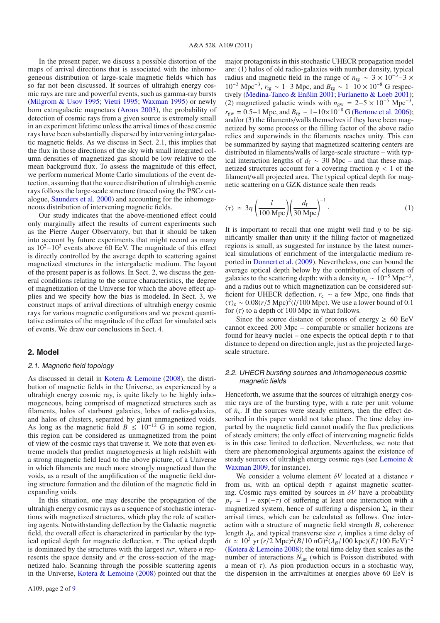In the present paper, we discuss a possible distortion of the maps of arrival directions that is associated with the inhomogeneous distribution of large-scale magnetic fields which has so far not been discussed. If sources of ultrahigh energy cosmic rays are rare and powerful events, such as gamma-ray bursts (Milgrom & Usov 1995; Vietri 1995; Waxman 1995) or newly born extragalactic magnetars (Arons 2003), the probability of detection of cosmic rays from a given source is extremely small in an experiment lifetime unless the arrival times of these cosmic rays have been substantially dispersed by intervening intergalactic magnetic fields. As we discuss in Sect. 2.1, this implies that the flux in those directions of the sky with small integrated column densities of magnetized gas should be low relative to the mean background flux. To assess the magnitude of this effect, we perform numerical Monte Carlo simulations of the event detection, assuming that the source distribution of ultrahigh cosmic rays follows the large-scale structure (traced using the PSCz catalogue, Saunders et al. 2000) and accounting for the inhomogeneous distribution of intervening magnetic fields.

Our study indicates that the above-mentioned effect could only marginally affect the results of current experiments such as the Pierre Auger Observatory, but that it should be taken into account by future experiments that might record as many as  $10^2-10^3$  events above 60 EeV. The magnitude of this effect is directly controlled by the average depth to scattering against magnetized structures in the intergalactic medium. The layout of the present paper is as follows. In Sect. 2, we discuss the general conditions relating to the source characteristics, the degree of magnetization of the Universe for which the above effect applies and we specify how the bias is modeled. In Sect. 3, we construct maps of arrival directions of ultrahigh energy cosmic rays for various magnetic configurations and we present quantitative estimates of the magnitude of the effect for simulated sets of events. We draw our conclusions in Sect. 4.

#### **2. Model**

#### 2.1. Magnetic field topology

As discussed in detail in Kotera & Lemoine (2008), the distribution of magnetic fields in the Universe, as experienced by a ultrahigh energy cosmic ray, is quite likely to be highly inhomogeneous, being comprised of magnetized structures such as filaments, halos of starburst galaxies, lobes of radio-galaxies, and halos of clusters, separated by giant unmagnetized voids. As long as the magnetic field  $B \le 10^{-12}$  G in some region, this region can be considered as unmagnetized from the point of view of the cosmic rays that traverse it. We note that even extreme models that predict magnetogenesis at high redshift with a strong magnetic field lead to the above picture, of a Universe in which filaments are much more strongly magnetized than the voids, as a result of the amplification of the magnetic field during structure formation and the dilution of the magnetic field in expanding voids.

In this situation, one may describe the propagation of the ultrahigh energy cosmic rays as a sequence of stochastic interactions with magnetized structures, which play the role of scattering agents. Notwithstanding deflection by the Galactic magnetic field, the overall effect is characterized in particular by the typical optical depth for magnetic deflection,  $\tau$ . The optical depth is dominated by the structures with the largest  $n\sigma$ , where *n* represents the space density and  $\sigma$  the cross-section of the magnetized halo. Scanning through the possible scattering agents in the Universe, Kotera  $\&$  Lemoine (2008) pointed out that the major protagonists in this stochastic UHECR propagation model are: (1) halos of old radio-galaxies with number density, typical radius and magnetic field in the range of  $n_{\text{rg}} \sim 3 \times 10^{-3} - 3 \times$ 10<sup>−2</sup> Mpc<sup>−3</sup>,  $r_{\text{rg}} \sim 1$ −3 Mpc, and  $B_{\text{rg}} \sim 1$ −10 × 10<sup>−8</sup> G respectively (Medina-Tanco & Enßlin 2001; Furlanetto & Loeb 2001); (2) magnetized galactic winds with  $n_{\text{gw}} = 2-5 \times 10^{-5} \text{ Mpc}^{-3}$ ,  $r_{\rm gw} = 0.5$ −1 Mpc, and  $B_{\rm rg} \sim 1 - 10 \times 10^{-8}$  G (Bertone et al. 2006); and/or (3) the filaments/walls themselves if they have been magnetized by some process or the filling factor of the above radio relics and superwinds in the filaments reaches unity. This can be summarized by saying that magnetized scattering centers are distributed in filaments/walls of large-scale structure – with typical interaction lengths of  $d_f \sim 30$  Mpc – and that these magnetized structures account for a covering fraction  $\eta$  < 1 of the filament/wall projected area. The typical optical depth for magnetic scattering on a GZK distance scale then reads

$$
\langle \tau \rangle \simeq 3\eta \left( \frac{l}{100 \text{ Mpc}} \right) \left( \frac{d_{\text{f}}}{30 \text{ Mpc}} \right)^{-1} . \tag{1}
$$

It is important to recall that one might well find  $\eta$  to be significantly smaller than unity if the filling factor of magnetized regions is small, as suggested for instance by the latest numerical simulations of enrichment of the intergalactic medium reported in Donnert et al. (2009). Nevertheless, one can bound the average optical depth below by the contribution of clusters of galaxies to the scattering depth: with a density  $n_c \sim 10^{-5}$  Mpc<sup>-3</sup>, and a radius out to which magnetization can be considered sufficient for UHECR deflection,  $r_c \sim a$  few Mpc, one finds that  $\langle \tau \rangle_c \sim 0.08(r/5 \text{ Mpc})^2 (l/100 \text{ Mpc})$ . We use a lower bound of 0.1 for  $\langle \tau \rangle$  to a depth of 100 Mpc in what follows.

Since the source distance of protons of energy  $\geq 60$  EeV cannot exceed 200 Mpc – comparable or smaller horizons are found for heavy nuclei – one expects the optical depth  $\tau$  to that distance to depend on direction angle, just as the projected largescale structure.

#### 2.2. UHECR bursting sources and inhomogeneous cosmic magnetic fields

Henceforth, we assume that the sources of ultrahigh energy cosmic rays are of the bursting type, with a rate per unit volume of  $\dot{n}_s$ . If the sources were steady emitters, then the effect described in this paper would not take place. The time delay imparted by the magnetic field cannot modify the flux predictions of steady emitters; the only effect of intervening magnetic fields is in this case limited to deflection. Nevertheless, we note that there are phenomenological arguments against the existence of steady sources of ultrahigh energy cosmic rays (see Lemoine & Waxman 2009, for instance).

We consider a volume element δ*V* located at a distance *r* from us, with an optical depth  $\tau$  against magnetic scattering. Cosmic rays emitted by sources in  $\delta V$  have a probability  $p_{\tau} = 1 - \exp(-\tau)$  of suffering at least one interaction with a magnetized system, hence of suffering a dispersion  $\Sigma_t$  in their arrival times, which can be calculated as follows. One interaction with a structure of magnetic field strength *B*, coherence length  $\lambda_B$ , and typical transverse size *r*, implies a time delay of  $\delta t \simeq 10^3$  yr (*r*/2 Mpc)<sup>2</sup>(*B*/10 nG)<sup>2</sup>( $\lambda_B$ /100 kpc)(*E*/100 EeV)<sup>-2</sup> (Kotera & Lemoine 2008); the total time delay then scales as the number of interactions  $N_{int}$  (which is Poisson distributed with a mean of  $\tau$ ). As pion production occurs in a stochastic way, the dispersion in the arrivaltimes at energies above 60 EeV is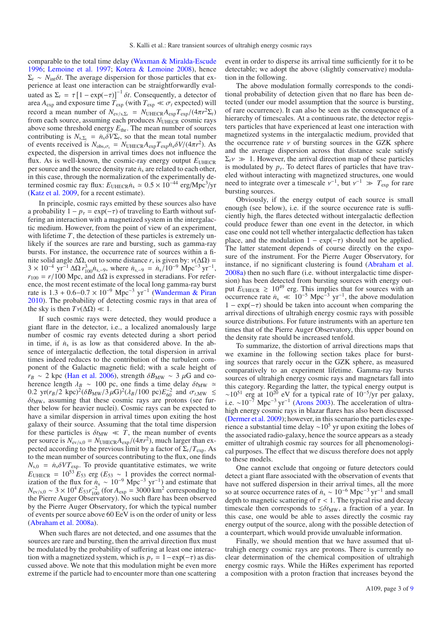comparable to the total time delay (Waxman & Miralda-Escude 1996; Lemoine et al. 1997; Kotera & Lemoine 2008), hence  $\Sigma_t \sim N_{\text{int}} \delta t$ . The average dispersion for those particles that experience at least one interaction can be straightforwardly evaluated as  $\Sigma_t = \tau [1 - \exp(-\tau)]^{-1} \delta t$ . Consequently, a detector of area  $A_{\text{exp}}$  and exposure time  $T_{\text{exp}}$  (with  $T_{\text{exp}} \ll \sigma_t$  expected) will record a mean number of  $N_{ev/s,\Sigma_t} = N_{UHECR}A_{exp}T_{exp}/(4\pi r^2\Sigma_t)$ from each source, assuming each produces  $N_{\text{UHECR}}$  cosmic rays above some threshold energy  $E_{thr}$ . The mean number of sources contributing is  $N_{s,\Sigma_t} = \dot{n}_s \delta V \Sigma_t$ , so that the mean total number of events received is  $N_{obs,\sigma_t} = N_{UHECR}A_{exp}T_{exp}\dot{n}_s \delta V/(4\pi r^2)$ . As expected, the dispersion in arrival times does not influence the flux. As is well-known, the cosmic-ray energy output  $E_{\text{UHECR}}$ per source and the source density rate  $\dot{n}_s$  are related to each other, in this case, through the normalization of the experimentally determined cosmic ray flux:  $E_{UHECR}n_s \approx 0.5 \times 10^{-44} \text{ erg/Mpc}^3/\text{yr}$ (Katz et al. 2009, for a recent estimate).

In principle, cosmic rays emitted by these sources also have a probability  $1 - p_\tau = \exp(-\tau)$  of traveling to Earth without suffering an interaction with a magnetized system in the intergalactic medium. However, from the point of view of an experiment, with lifetime  $T$ , the detection of these particles is extremely unlikely if the sources are rare and bursting, such as gamma-ray bursts. For instance, the occurrence rate of sources within a finite solid angle  $\Delta \Omega$ , out to some distance *r*, is given by:  $ν(\Delta \Omega)$  =  $3 \times 10^{-4}$  yr<sup>-1</sup> ΔΩ  $r_{100}^3$ *n*<sub>s,-9</sub>, where  $n_{s,-9} = n_s/10^{-9}$  Mpc<sup>-3</sup> yr<sup>-1</sup>,  $r_{100} = r/100$  Mpc, and  $\Delta\Omega$  is expressed in steradians. For reference, the most recent estimate of the local long gamma-ray burst rate is  $1.3 + 0.6 - 0.7 \times 10^{-9}$  Mpc<sup>-3</sup> yr<sup>-1</sup> (Wanderman & Piran 2010). The probability of detecting cosmic rays in that area of the sky is then  $Tv(\Delta\Omega) \ll 1$ .

If such cosmic rays were detected, they would produce a giant flare in the detector, i.e., a localized anomalously large number of cosmic ray events detected during a short period in time, if  $\dot{n}_s$  is as low as that considered above. In the absence of intergalactic deflection, the total dispersion in arrival times indeed reduces to the contribution of the turbulent component of the Galactic magnetic field; with a scale height of  $r_B \sim 2$  kpc (Han et al. 2006), strength  $\delta B_{MW} \sim 3 \mu$ G and coherence length  $\lambda_B \sim 100$  pc, one finds a time delay  $\delta t_{MW} \simeq$  $0.2 \text{ yr}(r_B/2 \text{ kpc})^2 (\delta B_{\text{MW}}/3 \mu\text{G})^2 (\lambda_B/100 \text{ pc}) E_{60}^{-2}$  and  $\sigma_{t,\text{MW}} \leq$  $\delta t$ <sub>MW</sub>, assuming that these cosmic rays are protons (see further below for heavier nuclei). Cosmic rays can be expected to have a similar dispersion in arrival times upon exiting the host galaxy of their source. Assuming that the total time dispersion for these particles is  $\delta t_{MW} \ll T$ , the mean number of events per source is  $N_{\text{ev/s,0}} = N_{\text{UHECR}} A_{\text{exp}} / (4\pi r^2)$ , much larger than expected according to the previous limit by a factor of  $\Sigma_t/T_{\text{exp}}$ . As to the mean number of sources contributing to the flux, one finds  $N_{s,0}$  =  $\dot{n}_s \delta V T_{\text{exp}}$ . To provide quantitative estimates, we write  $E_{\text{UHECR}} = 10^{53} E_{53} \text{ erg } (E_{53} \sim 1 \text{ provides the correct normal-}$ ization of the flux for  $\dot{n}_s \sim 10^{-9}$  Mpc<sup>-3</sup> yr<sup>-1</sup>) and estimate that  $N_{\text{ev/s},0} \sim 3 \times 10^4 E_{53} r_{100}^{-2}$  (for  $A_{\text{exp}} = 3000 \text{ km}^2$  corresponding to the Pierre Auger Observatory). No such flare has been observed by the Pierre Auger Observatory, for which the typical number of events per source above 60 EeV is on the order of unity or less (Abraham et al. 2008a).

When such flares are not detected, and one assumes that the sources are rare and bursting, then the arrival direction flux must be modulated by the probability of suffering at least one interaction with a magnetized system, which is  $p_\tau = 1 - \exp(-\tau)$  as discussed above. We note that this modulation might be even more extreme if the particle had to encounter more than one scattering event in order to disperse its arrival time sufficiently for it to be detectable; we adopt the above (slightly conservative) modulation in the following.

The above modulation formally corresponds to the conditional probability of detection given that no flare has been detected (under our model assumption that the source is bursting, of rare occurrence). It can also be seen as the consequence of a hierarchy of timescales. At a continuous rate, the detector registers particles that have experienced at least one interaction with magnetized systems in the intergalactic medium, provided that the occurrence rate  $\nu$  of bursting sources in the GZK sphere and the average dispersion across that distance scale satisfy  $\Sigma_t v \gg 1$ . However, the arrival direction map of these particles is modulated by  $p_{\tau}$ . To detect flares of particles that have traveled without interacting with magnetized structures, one would need to integrate over a timescale  $v^{-1}$ , but  $v^{-1} \gg T_{\text{exp}}$  for rare bursting sources.

Obviously, if the energy output of each source is small enough (see below), i.e. if the source occurence rate is sufficiently high, the flares detected without intergalactic deflection could produce fewer than one event in the detector, in which case one could not tell whether intergalactic deflection has taken place, and the modulation  $1 - \exp(-\tau)$  should not be applied. The latter statement depends of course directly on the exposure of the instrument. For the Pierre Auger Observatory, for instance, if no significant clustering is found (Abraham et al. 2008a) then no such flare (i.e. without intergalactic time dispersion) has been detected from bursting sources with energy output  $E_{\text{UHECR}} \geq 10^{49}$  erg. This implies that for sources with an occurrence rate  $\dot{n}_s \ll 10^{-5} \text{ Mpc}^{-3} \text{ yr}^{-1}$ , the above modulation  $1 - \exp(-\tau)$  should be taken into account when comparing the arrival directions of ultrahigh energy cosmic rays with possible source distributions. For future instruments with an aperture ten times that of the Pierre Auger Observatory, this upper bound on the density rate should be increased tenfold.

To summarize, the distortion of arrival directions maps that we examine in the following section takes place for bursting sources that rarely occur in the GZK sphere, as measured comparatively to an experiment lifetime. Gamma-ray bursts sources of ultrahigh energy cosmic rays and magnetars fall into this category. Regarding the latter, the typical energy output is  $\sim$ 10<sup>51</sup> erg at 10<sup>20</sup> eV for a typical rate of 10<sup>-5</sup>/yr per galaxy, i.e. ~10<sup>-7</sup> Mpc<sup>-3</sup> yr<sup>-1</sup> (Arons 2003). The acceleration of ultrahigh energy cosmic rays in blazar flares has also been discussed (Dermer et al. 2009); however, in this scenario the particles experience a substantial time delay ∼10<sup>5</sup> yr upon exiting the lobes of the associated radio-galaxy, hence the source appears as a steady emitter of ultrahigh cosmic ray sources for all phenomenological purposes. The effect that we discuss therefore does not apply to these models.

One cannot exclude that ongoing or future detectors could detect a giant flare associated with the observation of events that have not suffered dispersion in their arrival times, all the more so at source occurrence rates of  $\dot{n}_s \sim 10^{-6}$  Mpc<sup>-3</sup> yr<sup>-1</sup> and small depth to magnetic scattering of  $\tau$  < 1. The typical rise and decay timescale then corresponds to  $\leq \delta t_{\rm MW}$ , a fraction of a year. In this case, one would be able to asses directly the cosmic ray energy output of the source, along with the possible detection of a counterpart, which would provide unvaluable information.

Finally, we should mention that we have assumed that ultrahigh energy cosmic rays are protons. There is currently no clear determination of the chemical composition of ultrahigh energy cosmic rays. While the HiRes experiment has reported a composition with a proton fraction that increases beyond the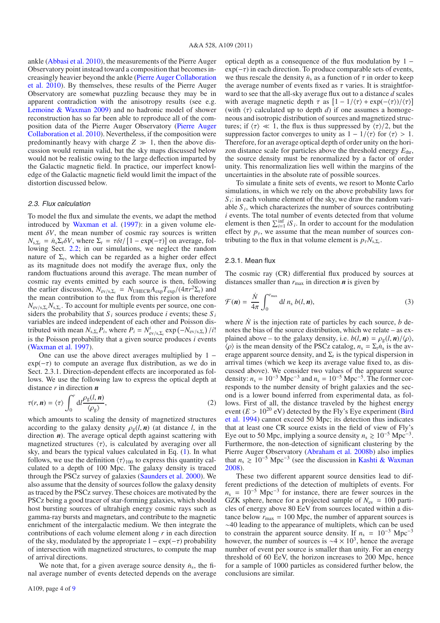ankle (Abbasi et al. 2010), the measurements of the Pierre Auger Observatory point instead toward a composition that becomes increasingly heavier beyond the ankle (Pierre Auger Collaboration et al. 2010). By themselves, these results of the Pierre Auger Observatory are somewhat puzzling because they may be in apparent contradiction with the anisotropy results (see e.g. Lemoine & Waxman 2009) and no hadronic model of shower reconstruction has so far been able to reproduce all of the composition data of the Pierre Auger Observatory (Pierre Auger Collaboration et al. 2010). Nevertheless, if the composition were predominantly heavy with charge  $Z \gg 1$ , then the above discussion would remain valid, but the sky maps discussed below would not be realistic owing to the large deflection imparted by the Galactic magnetic field. In practice, our imperfect knowledge of the Galactic magnetic field would limit the impact of the distortion discussed below.

#### 2.3. Flux calculation

To model the flux and simulate the events, we adapt the method introduced by Waxman et al. (1997): in a given volume element  $\delta V$ , the mean number of cosmic ray sources is written  $N_{s,\Sigma_t} = \dot{n}_s \Sigma_t \delta V$ , where  $\Sigma_t = \tau \delta t / [1 - \exp(-\tau)]$  on average, following Sect. 2.2; in our simulations, we neglect the random nature of  $\Sigma$ <sub>t</sub>, which can be regarded as a higher order effect as its magnitude does not modify the average flux, only the random fluctuations around this average. The mean number of cosmic ray events emitted by each source is then, following the earlier discussion,  $N_{\text{ev/s},\Sigma_t} = N_{\text{UHECR}} A_{\text{exp}} T_{\text{exp}} / (4\pi r^2 \Sigma_t)$  and the mean contribution to the flux from this region is therefore *N*ev/s,Σ*tN*s,Σ*<sup>t</sup>* . To account for multiple events per source, one considers the probability that  $S_i$  sources produce *i* events; these  $S_i$ variables are indeed independent of each other and Poisson distributed with mean  $N_{s,\Sigma_t}P_i$ , where  $P_i = N_{ev/s,\Sigma_t}^i \exp(-N_{ev/s,\Sigma_t})/i!$ is the Poisson probability that a given source produces  $i$  events (Waxman et al. 1997).

One can use the above direct averages multiplied by 1 −  $exp(-\tau)$  to compute an average flux distribution, as we do in Sect. 2.3.1. Direction-dependent effects are incorporated as follows. We use the following law to express the optical depth at distance *r* in direction *n*

$$
\tau(r, n) = \langle \tau \rangle \int_0^r \mathrm{d}l \frac{\rho_g(l, n)}{\langle \rho_g \rangle},\tag{2}
$$

which amounts to scaling the density of magnetized structures according to the galaxy density  $\rho_g(l, n)$  (at distance *l*, in the direction *n*). The average optical depth against scattering with magnetized structures  $\langle \tau \rangle$ , is calculated by averaging over all sky, and bears the typical values calculated in Eq. (1). In what follows, we use the definition  $\langle \tau \rangle_{100}$  to express this quantity calculated to a depth of 100 Mpc. The galaxy density is traced through the PSCz survey of galaxies (Saunders et al. 2000). We also assume that the density of sources follow the galaxy density as traced by the PSCz survey. These choices are motivated by the PSCz being a good tracer of star-forming galaxies, which should host bursting sources of ultrahigh energy cosmic rays such as gamma-ray bursts and magnetars, and contribute to the magnetic enrichment of the intergalactic medium. We then integrate the contributions of each volume element along *r* in each direction of the sky, modulated by the appropriate  $1 - \exp(-\tau)$  probability of intersection with magnetized structures, to compute the map of arrival directions.

We note that, for a given average source density  $\dot{n}_s$ , the final average number of events detected depends on the average optical depth as a consequence of the flux modulation by 1 −  $exp(-\tau)$  in each direction. To produce comparable sets of events, we thus rescale the density  $\dot{n}_s$  as a function of  $\tau$  in order to keep the average number of events fixed as  $\tau$  varies. It is straightforward to see that the all-sky average flux out to a distance *d* scales with average magnetic depth  $\tau$  as  $[1 - 1/\langle \tau \rangle + \exp(-\langle \tau \rangle)/\langle \tau \rangle]$ (with  $\langle \tau \rangle$  calculated up to depth *d*) if one assumes a homogeneous and isotropic distribution of sources and magnetized structures; if  $\langle \tau \rangle \ll 1$ , the flux is thus suppressed by  $\langle \tau \rangle/2$ , but the suppression factor converges to unity as  $1 - 1/\langle \tau \rangle$  for  $\langle \tau \rangle > 1$ . Therefore, for an average optical depth of order unity on the horizon distance scale for particles above the threshold energy  $E_{thr}$ , the source density must be renormalized by a factor of order unity. This renormalization lies well within the margins of the uncertainties in the absolute rate of possible sources.

To simulate a finite sets of events, we resort to Monte Carlo simulations, in which we rely on the above probability laws for  $S_i$ : in each volume element of the sky, we draw the random variable *S <sup>i</sup>*, which characterizes the number of sources contributing *i* events. The total number of events detected from that volume element is then  $\sum_{i=1}^{\inf} iS_i$ . In order to account for the modulation effect by  $p_{\tau}$ , we assume that the mean number of sources contributing to the flux in that volume element is  $p_{\tau}N_{s,\Sigma_t}$ .

#### 2.3.1. Mean flux

The cosmic ray (CR) differential flux produced by sources at distances smaller than  $r_{\text{max}}$  in direction  $\boldsymbol{n}$  is given by

$$
\mathcal{F}(n) = \frac{\dot{N}}{4\pi} \int_0^{r_{\text{max}}} \mathrm{d}l \, n_{\text{s}} \, b(l, n), \tag{3}
$$

where  $\dot{N}$  is the injection rate of particles by each source,  $b$  denotes the bias of the source distribution, which we relate – as explained above – to the galaxy density, i.e.  $b(l, n) = \rho_g(l, n)/\langle \rho \rangle$ ,  $\langle \rho \rangle$  is the mean density of the PSCz catalog,  $n_s = \sum_i \dot{n}_s$  is the average apparent source density, and  $\Sigma_t$  is the typical dispersion in arrival times (which we keep its average value fixed to, as discussed above). We consider two values of the apparent source density:  $n_s = 10^{-3}$  Mpc<sup>-3</sup> and  $n_s = 10^{-5}$  Mpc<sup>-5</sup>. The former corresponds to the number density of bright galaxies and the second is a lower bound inferred from experimental data, as follows. First of all, the distance traveled by the highest energy event  $(E > 10^{20} \text{ eV})$  detected by the Fly's Eye experiment (Bird et al. 1994) cannot exceed 50 Mpc; its detection thus indicates that at least one CR source exists in the field of view of Fly's Eye out to 50 Mpc, implying a source density  $n_s \ge 10^{-5}$  Mpc<sup>-3</sup>. Furthermore, the non-detection of significant clustering by the Pierre Auger Observatory (Abraham et al. 2008b) also implies that  $n_s \ge 10^{-5}$  Mpc<sup>-3</sup> (see the discussion in Kashti & Waxman 2008).

These two different apparent source densities lead to different predictions of the detection of multiplets of events. For  $n_s = 10^{-5}$  Mpc<sup>-3</sup> for instance, there are fewer sources in the GZK sphere, hence for a projected sample of  $N_{\text{ev}} = 100$  particles of energy above 80 EeV from sources located within a distance below  $r_{\text{max}} = 100$  Mpc, the number of apparent sources is ∼40 leading to the appearance of multiplets, which can be used to constrain the apparent source density. If  $n_s = 10^{-3}$  Mpc<sup>-3</sup> however, the number of sources is  $\sim$ 4 × 10<sup>3</sup>, hence the average number of event per source is smaller than unity. For an energy threshold of 60 EeV, the horizon increases to 200 Mpc, hence for a sample of 1000 particles as considered further below, the conclusions are similar.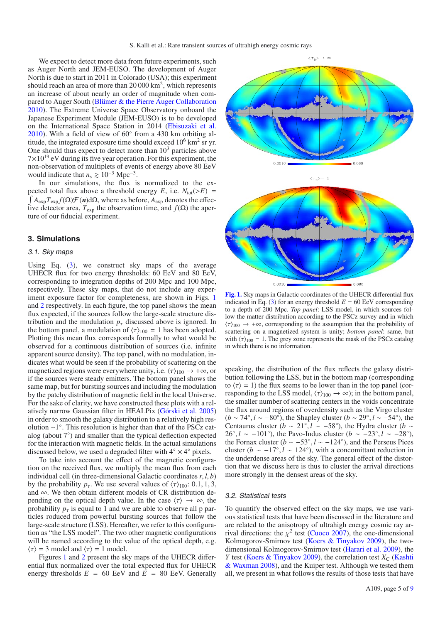We expect to detect more data from future experiments, such as Auger North and JEM-EUSO. The development of Auger North is due to start in 2011 in Colorado (USA); this experiment should reach an area of more than  $20000 \text{ km}^2$ , which represents an increase of about nearly an order of magnitude when compared to Auger South (Blümer & the Pierre Auger Collaboration 2010). The Extreme Universe Space Observatory onboard the Japanese Experiment Module (JEM-EUSO) is to be developed on the International Space Station in 2014 (Ebisuzaki et al. 2010). With a field of view of 60◦ from a 430 km orbiting altitude, the integrated exposure time should exceed  $10^6$  km<sup>2</sup> sr yr. One should thus expect to detect more than  $10<sup>3</sup>$  particles above  $7 \times 10^{19}$  eV during its five year operation. For this experiment, the non-observation of multiplets of events of energy above 80 EeV would indicate that  $n_s \ge 10^{-3}$  Mpc<sup>-3</sup>.

In our simulations, the flux is normalized to the expected total flux above a threshold energy  $E$ , i.e.  $N_{\text{tot}}(>E)$  =  $\int A_{\exp} T_{\exp} f(\Omega) \mathcal{F}(\mathbf{n}) d\Omega$ , where as before,  $A_{\exp}$  denotes the effective detector area,  $T_{\text{exp}}$  the observation time, and  $f(\Omega)$  the aperture of our fiducial experiment.

#### **3. Simulations**

#### 3.1. Sky maps

Using Eq.  $(3)$ , we construct sky maps of the average UHECR flux for two energy thresholds: 60 EeV and 80 EeV, corresponding to integration depths of 200 Mpc and 100 Mpc, respectively. These sky maps, that do not include any experiment exposure factor for completeness, are shown in Figs. 1 and 2 respectively. In each figure, the top panel shows the mean flux expected, if the sources follow the large-scale structure distribution and the modulation  $p<sub>\tau</sub>$  discussed above is ignored. In the bottom panel, a modulation of  $\langle \tau \rangle_{100} = 1$  has been adopted. Plotting this mean flux corresponds formally to what would be observed for a continuous distribution of sources (i.e. infinite apparent source density). The top panel, with no modulation, indicates what would be seen if the probability of scattering on the magnetized regions were everywhere unity, i.e.  $\langle \tau \rangle_{100} \rightarrow +\infty$ , or if the sources were steady emitters. The bottom panel shows the same map, but for bursting sources and including the modulation by the patchy distribution of magnetic field in the local Universe. For the sake of clarity, we have constructed these plots with a relatively narrow Gaussian filter in HEALPix (Górski et al. 2005) in order to smooth the galaxy distribution to a relatively high resolution ∼1◦. This resolution is higher than that of the PSCz catalog (about 7◦) and smaller than the typical deflection expected for the interaction with magnetic fields. In the actual simulations discussed below, we used a degraded filter with  $4° \times 4°$  pixels.

To take into account the effect of the magnetic configuration on the received flux, we multiply the mean flux from each individual cell (in three-dimensional Galactic coordinates *r*, *l*, *b*) by the probability  $p_{\tau}$ . We use several values of  $\langle \tau \rangle_{100}$ : 0.1, 1, 3, and ∞. We then obtain different models of CR distribution depending on the optical depth value. In the case  $\langle \tau \rangle \rightarrow \infty$ , the probability  $p_{\tau}$  is equal to 1 and we are able to observe all p particles roduced from powerful bursting sources that follow the large-scale structure (LSS). Hereafter, we refer to this configuration as "the LSS model". The two other magnetic configurations will be named according to the value of the optical depth, e.g.  $\langle \tau \rangle = 3$  model and  $\langle \tau \rangle = 1$  model.

Figures 1 and 2 present the sky maps of the UHECR differential flux normalized over the total expected flux for UHECR energy thresholds  $E = 60$  EeV and  $E = 80$  EeV. Generally



0.0010 0.060

**[Fig. 1.](http://dexter.edpsciences.org/applet.php?DOI=10.1051/0004-6361/201015688&pdf_id=1)** Sky maps in Galactic coordinates of the UHECR differential flux indicated in Eq. (3) for an energy threshold  $E = 60 \text{ EeV}$  corresponding to a depth of 200 Mpc. *Top panel*: LSS model, in which sources follow the matter distribution according to the PSCz survey and in which  $\langle \tau \rangle_{100} \rightarrow +\infty$ , corresponding to the assumption that the probability of scattering on a magnetized system is unity; *bottom panel*: same, but with  $\langle \tau \rangle_{100} = 1$ . The grey zone represents the mask of the PSCz catalog in which there is no information.

speaking, the distribution of the flux reflects the galaxy distribution following the LSS, but in the bottom map (corresponding to  $\langle \tau \rangle = 1$ ) the flux seems to be lower than in the top panel (corresponding to the LSS model,  $\langle \tau \rangle_{100} \rightarrow \infty$ ; in the bottom panel, the smaller number of scattering centers in the voids concentrate the flux around regions of overdensity such as the Virgo cluster (*b* ∼ 74◦, *l* ∼ −80◦), the Shapley cluster (*b* ∼ 29◦, *l* ∼ −54◦), the Centaurus cluster (*b* ~ 21°, *l* ~ −58°), the Hydra cluster (*b* ~ 26°,  $l \sim -101$ °), the Pavo-Indus cluster ( $b \sim -23$ °,  $l \sim -28$ °), the Fornax cluster ( $b \sim -53^\circ$ ,  $l \sim -124^\circ$ ), and the Perseus Pices cluster ( $b \sim -17°$ ,  $l \sim 124°$ ), with a concomittant reduction in the underdense areas of the sky. The general effect of the distortion that we discuss here is thus to cluster the arrival directions more strongly in the densest areas of the sky.

#### 3.2. Statistical tests

To quantify the observed effect on the sky maps, we use various statistical tests that have been discussed in the literature and are related to the anisotropy of ultrahigh energy cosmic ray arrival directions: the  $\chi^2$  test (Cuoco 2007), the one-dimensional Kolmogorov-Smirnov test (Koers & Tinyakov 2009), the twodimensional Kolmogorov-Smirnov test (Harari et al. 2009), the *Y* test (Koers & Tinyakov 2009), the correlation test  $X_C$  (Kashti & Waxman 2008), and the Kuiper test. Although we tested them all, we present in what follows the results of those tests that have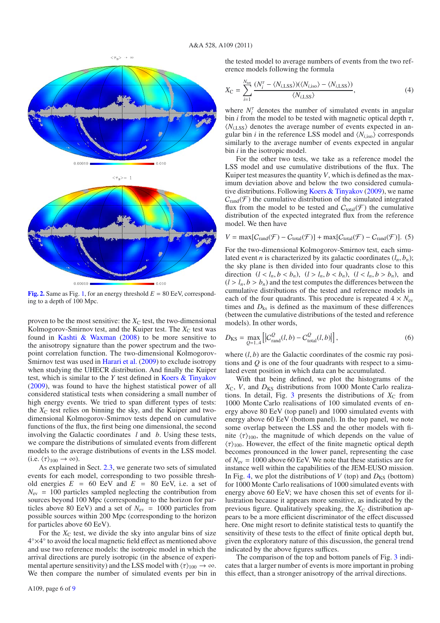

**[Fig. 2.](http://dexter.edpsciences.org/applet.php?DOI=10.1051/0004-6361/201015688&pdf_id=2)** Same as Fig. 1, for an energy threshold  $E = 80$  EeV, corresponding to a depth of 100 Mpc.

proven to be the most sensitive: the  $X<sub>C</sub>$  test, the two-dimensional Kolmogorov-Smirnov test, and the Kuiper test. The  $X<sub>C</sub>$  test was found in Kashti & Waxman (2008) to be more sensitive to the anisotropy signature than the power spectrum and the twopoint correlation function. The two-dimensional Kolmogorov-Smirnov test was used in Harari et al. (2009) to exclude isotropy when studying the UHECR distribution. And finally the Kuiper test, which is similar to the *Y* test defined in Koers & Tinyakov (2009), was found to have the highest statistical power of all considered statistical tests when considering a small number of high energy events. We tried to span different types of tests: the  $X<sub>C</sub>$  test relies on binning the sky, and the Kuiper and twodimensional Kolmogorov-Smirnov tests depend on cumulative functions of the flux, the first being one dimensional, the second involving the Galactic coordinates *l* and *b*. Using these tests, we compare the distributions of simulated events from different models to the average distributions of events in the LSS model. (i.e.  $\langle \tau \rangle_{100} \rightarrow \infty$ ).

As explained in Sect. 2.3, we generate two sets of simulated events for each model, corresponding to two possible threshold energies  $E = 60$  EeV and  $E = 80$  EeV, i.e. a set of  $N_{\rm ev}$  = 100 particles sampled neglecting the contribution from sources beyond 100 Mpc (corresponding to the horizon for particles above 80 EeV) and a set of  $N_{\rm ev} = 1000$  particles from possible sources within 200 Mpc (corresponding to the horizon for particles above 60 EeV).

For the  $X<sub>C</sub>$  test, we divide the sky into angular bins of size 4◦×4◦ to avoid the local magnetic field effect as mentioned above and use two reference models: the isotropic model in which the arrival directions are purely isotropic (in the absence of experimental aperture sensitivity) and the LSS model with  $\langle \tau \rangle_{100} \rightarrow \infty$ . We then compare the number of simulated events per bin in the tested model to average numbers of events from the two reference models following the formula

$$
X_{\rm C} = \sum_{i=1}^{N_{\rm tot}} \frac{(N_i^{\tau} - \langle N_{i, \rm LSS} \rangle)(\langle N_{i, \rm iso} \rangle - \langle N_{i, \rm LSS} \rangle)}{\langle N_{i, \rm LSS} \rangle},\tag{4}
$$

where  $N_i^{\tau}$  denotes the number of simulated events in angular bin *i* from the model to be tested with magnetic optical depth  $\tau$ ,  $\langle N_{i1} \rangle$  denotes the average number of events expected in angular bin *i* in the reference LSS model and  $\langle N_{i,iso} \rangle$  corresponds similarly to the average number of events expected in angular bin *i* in the isotropic model.

For the other two tests, we take as a reference model the LSS model and use cumulative distributions of the flux. The Kuiper test measures the quantity *V*, which is defined as the maximum deviation above and below the two considered cumulative distributions. Following Koers & Tinyakov (2009), we name  $C_{\text{rand}}(\mathcal{F})$  the cumulative distribution of the simulated integrated flux from the model to be tested and  $C_{total}(\mathcal{F})$  the cumulative distribution of the expected integrated flux from the reference model. We then have

$$
V = \max[C_{\text{rand}}(\mathcal{F}) - C_{\text{total}}(\mathcal{F})] + \max[C_{\text{total}}(\mathcal{F}) - C_{\text{rand}}(\mathcal{F})].
$$
 (5)

For the two-dimensional Kolmogorov-Smirnov test, each simulated event *n* is characterized by its galactic coordinates  $(l_n, b_n)$ ; the sky plane is then divided into four quadrants close to this direction  $(l < l_n, b < b_n)$ ,  $(l > l_n, b < b_n)$ ,  $(l < l_n, b > b_n)$ , and  $(l > l_n, b > b_n)$  and the test computes the differences between the cumulative distributions of the tested and reference models in each of the four quadrants. This procedure is repeated  $4 \times N_{\text{ev}}$ times and  $D_{ks}$  is defined as the maximum of these differences (between the cumulative distributions of the tested and reference models). In other words,

$$
D_{\rm KS} = \max_{Q=1..4} \left[ |C_{\rm rand}^Q(l, b) - C_{\rm total}^Q(l, b)| \right],\tag{6}
$$

where  $(l, b)$  are the Galactic coordinates of the cosmic ray positions and *Q* is one of the four quadrants with respect to a simulated event position in which data can be accumulated.

With that being defined, we plot the histograms of the *X*C, *V*, and *D*KS distributions from 1000 Monte Carlo realizations. In detail, Fig. 3 presents the distributions of  $X_C$  from 1000 Monte Carlo realisations of 100 simulated events of energy above 80 EeV (top panel) and 1000 simulated events with energy above 60 EeV (bottom panel). In the top panel, we note some overlap between the LSS and the other models with finite  $\langle \tau \rangle_{100}$ , the magnitude of which depends on the value of  $\langle \tau \rangle_{100}$ . However, the effect of the finite magnetic optical depth becomes pronounced in the lower panel, representing the case of  $N_{\text{ev}} = 1000$  above 60 EeV. We note that these statistics are for instance well within the capabilities of the JEM-EUSO mission. In Fig. 4, we plot the distributions of  $V$  (top) and  $D_{KS}$  (bottom) for 1000 Monte Carlo realisations of 1000 simulated events with energy above 60 EeV; we have chosen this set of events for illustration because it appears more sensitive, as indicated by the previous figure. Qualitatively speaking, the  $X_C$  distribution appears to be a more efficient discriminator of the effect discussed here. One might resort to definite statistical tests to quantify the sensitivity of these tests to the effect of finite optical depth but, given the exploratory nature of this discussion, the general trend indicated by the above figures suffices.

The comparison of the top and bottom panels of Fig. 3 indicates that a larger number of events is more important in probing this effect, than a stronger anisotropy of the arrival directions.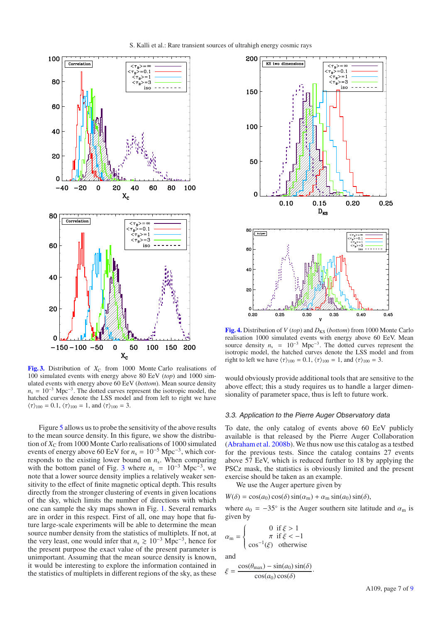

**[Fig. 3.](http://dexter.edpsciences.org/applet.php?DOI=10.1051/0004-6361/201015688&pdf_id=3)** Distribution of  $X_C$  from 1000 Monte Carlo realisations of 100 simulated events with energy above 80 EeV (*top*) and 1000 simulated events with energy above 60 EeV (*bottom*). Mean source density  $n_s = 10^{-3}$  Mpc<sup>-3</sup>. The dotted curves represent the isotropic model, the hatched curves denote the LSS model and from left to right we have  $\langle \tau \rangle_{100} = 0.1, \langle \tau \rangle_{100} = 1$ , and  $\langle \tau \rangle_{100} = 3$ .

Figure 5 allows us to probe the sensitivity of the above results to the mean source density. In this figure, we show the distribution of  $X_C$  from 1000 Monte Carlo realisations of 1000 simulated events of energy above 60 EeV for  $n_s = 10^{-5}$  Mpc<sup>-3</sup>, which corresponds to the existing lower bound on *n*s. When comparing with the bottom panel of Fig. 3 where  $n_s = 10^{-3}$  Mpc<sup>-3</sup>, we note that a lower source density implies a relatively weaker sensitivity to the effect of finite magnetic optical depth. This results directly from the stronger clustering of events in given locations of the sky, which limits the number of directions with which one can sample the sky maps shown in Fig. 1. Several remarks are in order in this respect. First of all, one may hope that future large-scale experiments will be able to determine the mean source number density from the statistics of multiplets. If not, at the very least, one would infer that  $n_s \ge 10^{-3}$  Mpc<sup>-3</sup>, hence for the present purpose the exact value of the present parameter is unimportant. Assuming that the mean source density is known, it would be interesting to explore the information contained in the statistics of multiplets in different regions of the sky, as these



**[Fig. 4.](http://dexter.edpsciences.org/applet.php?DOI=10.1051/0004-6361/201015688&pdf_id=4)** Distribution of *V* (*top*) and  $D_{KS}$  (*bottom*) from 1000 Monte Carlo realisation 1000 simulated events with energy above 60 EeV. Mean source density  $n_s = 10^{-3}$  Mpc<sup>-3</sup>. The dotted curves represent the isotropic model, the hatched curves denote the LSS model and from right to left we have  $\langle \tau \rangle_{100} = 0.1$ ,  $\langle \tau \rangle_{100} = 1$ , and  $\langle \tau \rangle_{100} = 3$ .

would obviously provide additional tools that are sensitive to the above effect; this a study requires us to handle a larger dimensionality of parameter space, thus is left to future work.

#### 3.3. Application to the Pierre Auger Observatory data

To date, the only catalog of events above 60 EeV publicly available is that released by the Pierre Auger Collaboration (Abraham et al. 2008b). We thus now use this catalog as a testbed for the previous tests. Since the catalog contains 27 events above 57 EeV, which is reduced further to 18 by applying the PSCz mask, the statistics is obviously limited and the present exercise should be taken as an example.

We use the Auger aperture given by

 $W(\delta) = \cos(a_0) \cos(\delta) \sin(\alpha_m) + \alpha_m \sin(a_0) \sin(\delta),$ 

where  $a_0 = -35^\circ$  is the Auger southern site latitude and  $\alpha_m$  is given by

$$
\alpha_{\rm m} = \begin{cases} 0 & \text{if } \xi > 1 \\ \pi & \text{if } \xi < -1 \\ \cos^{-1}(\xi) & \text{otherwise} \end{cases}
$$

and

$$
\xi = \frac{\cos(\theta_{\text{max}}) - \sin(a_0)\sin(\delta)}{\cos(a_0)\cos(\delta)}.
$$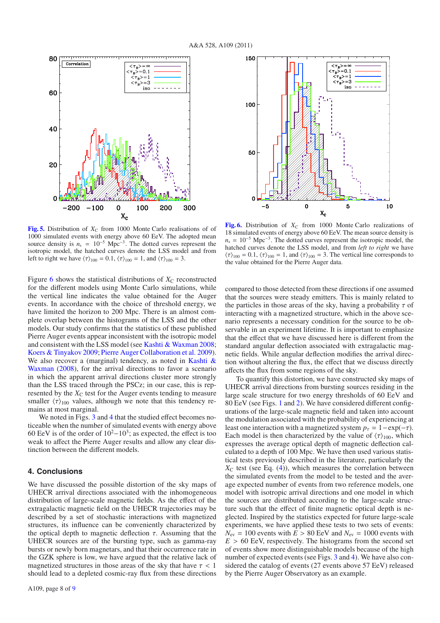150

 $100$ 

50

 $\mathcal{C}_{\mathcal{C}}$ 

 $-5$ 



**[Fig. 5.](http://dexter.edpsciences.org/applet.php?DOI=10.1051/0004-6361/201015688&pdf_id=5)** Distribution of  $X<sub>C</sub>$  from 1000 Monte Carlo realisations of of 1000 simulated events with energy above 60 EeV. The adopted mean source density is  $n_s = 10^{-5}$  Mpc<sup>-3</sup>. The dotted curves represent the isotropic model, the hatched curves denote the LSS model and from left to right we have  $\langle \tau \rangle_{100} = 0.1$ ,  $\langle \tau \rangle_{100} = 1$ , and  $\langle \tau \rangle_{100} = 3$ .

Figure 6 shows the statistical distributions of  $X<sub>C</sub>$  reconstructed for the different models using Monte Carlo simulations, while the vertical line indicates the value obtained for the Auger events. In accordance with the choice of threshold energy, we have limited the horizon to 200 Mpc. There is an almost complete overlap between the histograms of the LSS and the other models. Our study confirms that the statistics of these published Pierre Auger events appear inconsistent with the isotropic model and consistent with the LSS model (see Kashti & Waxman 2008; Koers & Tinyakov 2009; Pierre Auger Collaboration et al. 2009). We also recover a (marginal) tendency, as noted in Kashti & Waxman (2008), for the arrival directions to favor a scenario in which the apparent arrival directions cluster more strongly than the LSS traced through the PSCz; in our case, this is represented by the  $X<sub>C</sub>$  test for the Auger events tending to measure smaller  $\langle \tau \rangle_{100}$  values, although we note that this tendency remains at most marginal.

We noted in Figs. 3 and 4 that the studied effect becomes noticeable when the number of simulated events with energy above 60 EeV is of the order of  $10^2-10^3$ ; as expected, the effect is too weak to affect the Pierre Auger results and allow any clear distinction between the different models.

#### **4. Conclusions**

We have discussed the possible distortion of the sky maps of UHECR arrival directions associated with the inhomogeneous distribution of large-scale magnetic fields. As the effect of the extragalactic magnetic field on the UHECR trajectories may be described by a set of stochastic interactions with magnetized structures, its influence can be conveniently characterized by the optical depth to magnetic deflection  $\tau$ . Assuming that the UHECR sources are of the bursting type, such as gamma-ray bursts or newly born magnetars, and that their occurrence rate in the GZK sphere is low, we have argued that the relative lack of magnetized structures in those areas of the sky that have  $\tau$  < 1 should lead to a depleted cosmic-ray flux from these directions



 $x_c$ 

 $\mathbf 0$ 

 $\langle \tau_{\rm B} \rangle = \infty$ 

 $\langle \tau_{\rm B} \rangle = 0.1$ 

 $\zeta_{\tau_B}$ >=1  $\langle \tau_{B} > 3$ 

iso

5

 $\frac{1}{2} \left( \frac{1}{2} \right) \left( \frac{1}{2} \right) \left( \frac{1}{2} \right) \left( \frac{1}{2} \right)$ 

10

compared to those detected from these directions if one assumed that the sources were steady emitters. This is mainly related to the particles in those areas of the sky, having a probability  $\tau$  of interacting with a magnetized structure, which in the above scenario represents a necessary condition for the source to be observable in an experiment lifetime. It is important to emphasize that the effect that we have discussed here is different from the standard angular deflection associated with extragalactic magnetic fields. While angular deflection modifies the arrival direction without altering the flux, the effect that we discuss directly affects the flux from some regions of the sky.

To quantify this distortion, we have constructed sky maps of UHECR arrival directions from bursting sources residing in the large scale structure for two energy thresholds of 60 EeV and 80 EeV (see Figs. 1 and 2). We have considered different configurations of the large-scale magnetic field and taken into account the modulation associated with the probability of experiencing at least one interaction with a magnetized system  $p_\tau = 1 - \exp(-\tau)$ . Each model is then characterized by the value of  $\langle \tau \rangle_{100}$ , which expresses the average optical depth of magnetic deflection calculated to a depth of 100 Mpc. We have then used various statistical tests previously described in the literature, particularly the  $X<sub>C</sub>$  test (see Eq. (4)), which measures the correlation between the simulated events from the model to be tested and the average expected number of events from two reference models, one model with isotropic arrival directions and one model in which the sources are distributed according to the large-scale structure such that the effect of finite magnetic optical depth is neglected. Inspired by the statistics expected for future large-scale experiments, we have applied these tests to two sets of events:  $N_{\rm ev} = 100$  events with  $E > 80$  EeV and  $N_{\rm ev} = 1000$  events with  $E > 60$  EeV, respectively. The histograms from the second set of events show more distinguishable models because of the high number of expected events (see Figs. 3 and 4). We have also considered the catalog of events (27 events above 57 EeV) released by the Pierre Auger Observatory as an example.